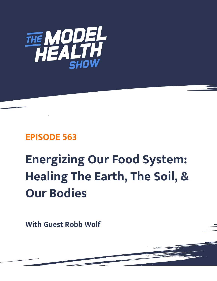

# **EPISODE 563**

# **Energizing Our Food System: Healing The Earth, The Soil, & Our Bodies**

**With Guest Robb Wolf**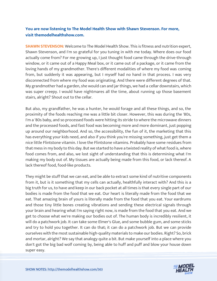# **You are now listening to The Model Health Show with Shawn Stevenson. For more, visit themodelhealthshow.com.**

**SHAWN STEVENSON:** Welcome to The Model Health Show. This is fitness and nutrition expert, Shawn Stevenson, and I'm so grateful for you tuning in with me today. Where does our food actually come from? For me growing up, I just thought food came through the drive-through window, or it came out of a Happy Meal box, or it came out of a package, or it came from the loving hands of my grandmother. There's different modalities of where my food was coming from, but suddenly it was appearing, but I myself had no hand in that process. I was very disconnected from where my food was originating. And there were different degrees of that. My grandmother had a garden, she would can and jar things, we had a cellar downstairs, which was super creepy. I would have nightmares all the time, about running up those basement stairs, alright? Shout out to the cellar.

But also, my grandfather, he was a hunter, he would forage and all these things, and so, the proximity of the foods reaching me was a little bit closer. However, this was during the '80s, I'm a '80s baby, and so processed foods were hitting its stride to where the microwave dinners and the processed foods, and fast food was becoming more and more dominant, just popping up around our neighborhood. And so, the accessibility, the fun of it, the marketing that this has everything your kids need, and also if you think you're missing something, just get them a nice little Flintstone vitamin. I love the Flintstone vitamins. Probably have some residues from that mess in my body to this day. But we started to have a twisted reality of what food is, where food comes from, and also, we lost sight of understanding that this is determining what I'm making my body out of. My tissues are actually being made from this food, or lack thereof. A lack thereof food, food-like products.

They might be stuff that we can eat, and be able to extract some kind of nutritive components from it, but is it something that my cells can actually, healthfully interact with? And this is a big truth for us, to have and keep in our back pocket at all times is that every single part of our bodies is made from the food that we eat. Our heart is literally made from the food that we eat. That amazing brain of yours is literally made from the food that you eat. Your eardrums and those tiny little bones creating vibrations and sending these electrical signals through your brain and hearing what I'm saying right now, is made from the food that you eat. And we get to choose what we're making our bodies out of. The human body is incredibly resilient, it will do a patchwork job. It can take some Elmer's Glue, and some bubble gum, and some sticks and try to hold you together. It can do that; it can do a patchwork job. But we can provide ourselves with the most sustainable high-quality materials to make our bodies. Right? So, brick and mortar, alright? We say that analogy quite a bit. But make yourself into a place where you don't got the big bad wolf coming by, being able to huff and puff and blow your house down [super easy.](https://themodelhealthshow.com/podcasts/robb-wolf-healing-the-earth/)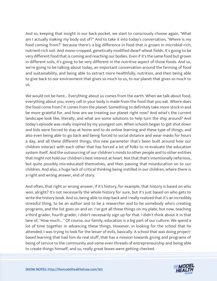And so, keeping that insight in our back pocket, we start to consciously choose again, "What am I actually making my body out of?" And to take it into today's conversation, "Where is my food coming from?" because there's a big difference in food that is grown in microbial-rich, nutrient-rich soil. And mono-cropped, genetically modified dwarf wheat fields. It's going to be very different food that is coming and reaching our bodies. Even if it's the same food but grown in different soils, it's going to be very different in the nutritive aspect of those foods. And so, we're going to be talking about today, an important conversation around the farming of food and sustainability, and being able to extract more healthfully, nutrition, and then being able to give back to our environment that gives so much to us, to our planet that gives so much to us.

We would not be here... Everything about us comes from the earth. When we talk about food, everything about you, every cell in your body is made from the food that you eat. Where does the food come from? It comes from the planet. Something to definitely take more stock in and be more grateful for, and how are we treating our planet right now? And what's the current landscape look like, literally, and what are some solutions to help turn the ship around? And today's episode was really inspired by my youngest son. When schools began to get shut down and kids were forced to stay at home and to do online learning and these type of things, and also even being able to go back and being forced to social distance and wear masks for hours a day, and all these different things, this new parameter that's been built around how our children interact with each other that has forced a lot of folks to re-evaluate the education system itself. And the outsourcing of our children's minds to other people and to other entities that might not hold our children's best interest at heart. Not that that's intentionally nefarious, but quite possibly mis-educated themselves, and then passing that miseducation on to our children. And also, a huge lack of critical thinking being instilled in our children, where there is a right and wrong answer, end of story.

And often, that right or wrong answer, if it's history, for example, that history is based on who won, alright? It's not necessarily the whole history for sure, but it's just based on who gets to write the history book. And so, being able to step back and I really realized that it's an incredibly stressful thing, to be an author and to be a researcher and to be somebody who's creating programs, and the list goes on and on. I've got all these things on my plate, but now, teaching a third grader, fourth grader, I didn't necessarily sign up for that. I didn't think about it in that lane of, "How much... " Of course, our family, education is a big part of our culture. We spend a lot of time together in advancing these things. However, in looking for the school that he attended, I was trying to look for the lesser of evils, basically. A school that was doing projectbased learning that had him do real stuff, that has a mission towards giving and programs of being of service to the community and some even threads of entrepreneurship and being able [to create things himself, and so, really great boxes were getting checked.](https://themodelhealthshow.com/podcasts/robb-wolf-healing-the-earth/)

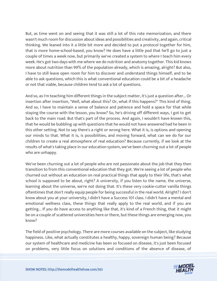But, as time went on and seeing that it was still a lot of this rote memorization, and there wasn't much room for discussion about ideas and possibilities and creativity, and again, critical thinking. We leaned into it a little bit more and decided to put a protocol together for him, that is more home-school-based, you know? He does have a little pod that he'll go to just a couple of times a week now, but primarily we've created a system to where I teach him every week. He's got two days with me where we do nutrition and anatomy together. This kid knows more about nutrition than 99% of the population already, which is amazing, alright? But also, I have to still leave open room for him to discover and understand things himself, and to be able to ask questions, which this is what conventional education could be a bit of a headache or not that viable, because children tend to ask a lot of questions.

And so, as I'm teaching him different things in the subject matter, it's just a question after... Or insertion after insertion, "Well, what about this? Or, what if this happens?" This kind of thing. And so, I have to maintain a sense of balance and patience and hold a space for that while staying the course with the lesson, you know? So, he's driving off different ways, I got to get back to the main road. But that's part of the process. And again, I wouldn't have known this, that he would be bubbling up with questions that he would not have answered had he been in this other setting. Not to say there's a right or wrong here. What it is, is options and opening our minds to that. What it is, is possibilities, and moving forward, what can we do for our children to create a real atmosphere of real education? Because currently, if we look at the results of what's taking place in our education system, we've been churning out a lot of people who are unhappy.

We've been churning out a lot of people who are not passionate about the job that they then transition to from this conventional education that they got. We're seeing a lot of people who churned out without an education on real practical things that apply to their life, that's what school is supposed to be about, right? A university, if you listen to the name, the universe, learning about the universe, we're not doing that. It's these very cookie-cutter vanilla things oftentimes that don't really equip people for being successful in the real world. Alright? I don't know about you at your university, I didn't have a Success 101 class. I didn't have a mental and emotional wellness class, these things that really apply to the real world, and if you are getting... If you do have access to anything like that, it's kind of a French thing, that it might be on a couple of scattered universities here or there, but these things are emerging now, you know?

The field of positive psychology. There are more courses available on the subject, like studying happiness. Like, what actually constitutes a healthy, happy, sovereign human being? Because our system of healthcare and medicine has been so focused on disease, it's just been focused [on problems, very little focus on solutions and conditions of the absence of disease, of](https://themodelhealthshow.com/podcasts/robb-wolf-healing-the-earth/) 

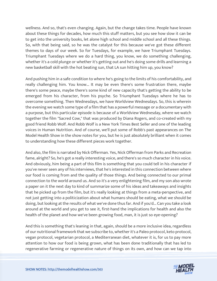wellness. And so, that's even changing. Again, but the change takes time. People have known about these things for decades, how much this stuff matters, but you see how slow it can be to get into the university books, let alone high school and middle school and all these things. So, with that being said, so he was the catalyst for this because we've got these different themes to days of our week. So for Tuesdays, for example, we have Triumphant Tuesdays. Triumphant Tuesdays where we do a hard thing, you know, we do something challenging, whether it's a cold plunge or whether it's getting out and he's doing some drills and learning a new basketball skill with the hot beating sun, that LA sun hitting him up, you know?

And pushing him in a safe condition to where he's going to the limits of his comfortability, and really challenging him. You know... It may be even there's some frustration there, maybe there's some peace, maybe there's some kind of new capacity that's getting the ability to be emerged from his character, from his psyche. So Triumphant Tuesdays where he has to overcome something. Then Wednesdays, we have Worldview Wednesdays. So, this is wherein the evening we watch some type of a film that has a powerful message or a documentary with a purpose, but this particular episode is because of a Worldview Wednesday, where we watch together the film "Sacred Cow," that was produced by Diana Rogers, and co-created with my good friend Robb Wolf. And Robb Wolf is a New York Times Best Seller and one of the leading voices in Human Nutrition. And of course, we'll put some of Robb's past appearances on The Model Health Show in the show notes for you, but he is just absolutely brilliant when it comes to understanding how these different pieces work together.

And also, the film is narrated by Nick Offerman. Yes, Nick Offerman from Parks and Recreation fame, alright? So, he's got a really interesting voice, and there's so much character in his voice. And obviously, him being a part of this film is something that you could tell in his character if you've never seen any of his interviews, that he's interested in this connection between where our food is coming from and the quality of those things. And being connected to our primal connection to the world around us. And so it's a very enlightening film, and my son also wrote a paper on it the next day to kind of summarize some of his ideas and takeaways and insights that he picked up from the film, but it's really looking at things from a meta-perspective, and not just getting into a politicization about what humans should be eating, what we should be doing, but looking at the results of what we've done thus far. And if you'd... Can you take a look around at the world and you get to see it, first-hand the implications for health and also the health of the planet and how we've been growing food, man, it is just so eye-opening?

And this is something that's leaning in that, again, should be a more inclusive idea, regardless of our nutritional framework that we subscribe to, whether it's a Paleo protocol, keto protocol, vegan protocol, vegetarian protocol, a Mediterranean diet, whatever it is, for us to pay more attention to how our food is being grown, what has been done traditionally that has led to [regenerative farming or regenerative nature of things](https://themodelhealthshow.com/podcasts/robb-wolf-healing-the-earth/) on its own, and how can we tap into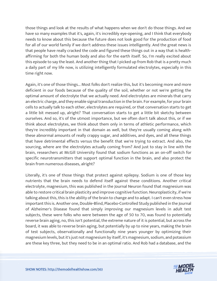those things and look at the results of what happens when we don't do those things. And we have so many examples that it's, again, it's incredibly eye-opening, and I think that everybody needs to know about this because the future does not look good for the production of food for all of our world family if we don't address these issues intelligently. And the great news is that people have really cracked the code and figured these things out in a way that is healthaffirming for both the human body and also for the earth itself. So, I'm really excited about this episode to say the least. And another thing that I picked up from Rob that is a pretty much a daily part of my life now, is utilizing intelligently formulated electrolytes, especially in this time right now.

Again, it's one of those things... Most folks don't realize this, but it's becoming more and more deficient in our foods because of the quality of the soil, whether or not we're getting the optimal amount of electrolyte that we actually need. And electrolytes are minerals that carry an electric charge, and they enable signal transduction in the brain. For example, for your brain cells to actually talk to each other, electrolytes are required, or that conversation starts to get a little bit messed up, alright? That conversation starts to get a little bit sketchy between ourselves. And so, it's of the utmost importance, but we often don't talk about this, or if we think about electrolytes, we think about them only in terms of athletic performance, which they're incredibly important in that domain as well, but they're usually coming along with these abnormal amounts of really crappy sugar, and additives, and dyes, and all these things that have detrimental effects versus the benefit that we're trying to extract. And also, the sourcing, where are the electrolytes actually coming from? And just to stay in line with the brain, researchers at McGill University found that sodium functions as an on-off switch for specific neurotransmitters that support optimal function in the brain, and also protect the brain from numerous diseases, alright?

Literally, it's one of those things that protect against epilepsy. Sodium is one of those key nutrients that the brain needs to defend itself against these conditions. Another critical electrolyte, magnesium, this was published in the Journal Neuron found that magnesium was able to restore critical brain plasticity and improve cognitive function. Neuroplasticity, if we're talking about this, this is the ability of the brain to change and to adapt. I can't even stress how important this is. Another one, Double-Blind, Placebo-Controlled Study published in the Journal of Alzheimer's Disease found that simply improving our magnesium levels in adult test subjects, these were folks who were between the age of 50 to 70, was found to potentially reverse brain aging, no, this isn't potential, the extreme nature of it is potential, but across the board, it was able to reverse brain aging, but potentially by up to nine years, making the brain of test subjects, observationally and functionally nine years younger by optimizing their magnesium levels, but it's just not magnesium by itself, it's magnesium, sodium, and potassium are these key three, but they need to be in an optimal ratio. And Rob had a database, and the

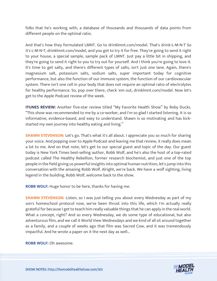folks that he's working with, a database of thousands and thousands of data points from different people on the optimal ratio.

And that's how they formulated LMNT. Go to drinklmnt.com/model. That's drink-L-M-N-T So it's L-M-N-T, drinklmnt.com/model, and you get to try it for free. They're going to send it right to your house, a special sample, sample pack of LMNT. Just pay a little bit in shipping, and they're going to send it right to you to try out for yourself. And I think you're going to love it. It's time to get salty, and there's different types of salts, isn't just one lane. Again, there's magnesium salt, potassium salts, sodium salts, super important today for cognitive performance, but also the function of our immune system, the function of our cardiovascular system. There isn't one cell in your body that does not require an optimal ratio of electrolytes for healthy performance. So, pop over there, check 'em out, drinklmnt.com/model. Now let's get to the Apple Podcast review of the week.

**ITUNES REVIEW:** Another five-star review titled "My Favorite Health Show" by Roby Ducks. "This show was recommended to me by a co-worker, and I'm so glad I started listening. It is so informative, evidence-based, and easy to understand. Shawn is so motivating and has kickstarted my own journey into healthy eating and living."

**SHAWN STEVENSON:** Let's go. That's what it's all about. I appreciate you so much for sharing your voice. And popping over to Apple Podcast and leaving me that review, it really does mean a lot to me. And on that note, let's get to our special guest and topic of the day. Our guest today is New York Times best-selling author, Robb Wolf, and he's also the host of a top-rated podcast called The Healthy Rebellion, former research biochemist, and just one of the top people in the field giving us powerful insights into optimal human nutrition, let's jump into this conversation with the amazing Robb Wolf. Alright, we're back. We have a wolf sighting, living legend in the building, Robb Wolf, welcome back to the show.

**ROBB WOLF:** Huge honor to be here, thanks for having me.

**SHAWN STEVENSON:** Listen, so I was just telling you about every Wednesday as part of my son's homeschool protocol now, we've been thrust into this life, which I'm actually really grateful for because I get to teach him really valuable things that he can apply in the real world. What a concept, right? And so every Wednesday, we do some type of educational, but also adventurous film, and we call it World View Wednesdays and we kind of all sit around together as a family, and a couple of weeks ago that film was Sacred Cow, and it was tremendously impactful. And he wrote a paper on it the next day as well...

**ROBB WOLF:** Oh awesome.

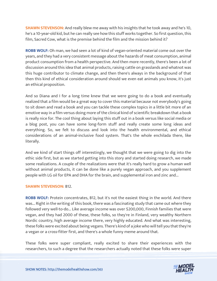**SHAWN STEVENSON:** And really blew me away with his insights that he took away and he's 10, he's a 10-year-old kid, but he can really see how this stuff works together. So first question, this film, Sacred Cow, what is the premise behind the film and the mission behind it?

**ROBB WOLF:** Oh man, we had seen a lot of kind of vegan-oriented material come out over the years, and they had a very consistent message about the hazards of meat consumption, animal product consumption from a health perspective. And then more recently, there's been a lot of discussion around this idea that animal products, raising cattle on grasslands and whatnot was this huge contributor to climate change, and then there's always in the background of that then this kind of ethical consideration around should we even eat animals you know, it's just an ethical proposition.

And so Diana and I for a long time knew that we were going to do a book and eventually realized that a film would be a great way to cover this material because not everybody's going to sit down and read a book and you can tackle these complex topics in a little bit more of an emotive way in a film versus doing more of the clinical kind of scientific breakdown that a book is really nice for. The cool thing about laying this stuff out in a book versus like social media or a blog post, you can have some long-form stuff and really create some long ideas and everything. So, we felt to discuss and look into the health environmental, and ethical considerations of an animal-inclusive food system. That's the whole enchilada there, like literally.

And we kind of start things off interestingly, we thought that we were going to dig into the ethic side first, but as we started getting into this story and started doing research, we made some realizations. A couple of the realizations were that it's really hard to grow a human well without animal products, it can be done like a purely vegan approach, and you supplement people with LG oil for EPA and DHA for the brain, and supplemental iron and zinc and...

## **SHAWN STEVENSON:** B12.

**ROBB WOLF:** Protein concentrates, B12, but it's not the easiest thing in the world. And there was... Right in the writing of this book, there was a fascinating study that came out where they followed very well-to-do... Like average income was over \$200,000, Finnish families that were vegan, and they had 2000 of these, these folks, so they're in Finland, very wealthy Northern Nordic country, high average income there, very highly educated. And what was interesting, these folks were excited about being vegans. There's kind of a joke who will tell you that they're a vegan or a cross-fitter first, and there's a whole funny meme around that.

These folks were super compliant, really excited to share their experiences with the [researchers, to such a degree that the researchers actually noted that these folks were super](https://themodelhealthshow.com/podcasts/robb-wolf-healing-the-earth/) 

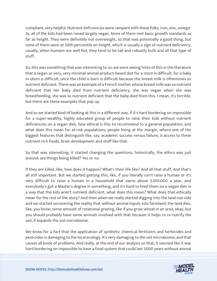compliant, very helpful. Nutrient deficiencies were rampant with these folks, iron, zinc, omega-3s, all of the kids had been raised largely vegan. None of them met basic growth standards as far as height. They were definitely not overweight, so that was potentially a good thing, but none of them were at 50th percentile on height, which is usually a sign of nutrient deficiency, usually, when humans are well-fed, they tend to be tall and robustly built and all that type of stuff.

So, this was something that was interesting to us, we were seeing hints of this in the literature that a vegan or very, very minimal animal product-based diet for a mom is difficult, for a baby in utero is difficult, once the child is born is difficult because the breast milk is oftentimes so nutrient deficient. There was an example of a French mother whose breast milk was so nutrient deficient that her baby died from nutrient deficiency, she was vegan when she was breastfeeding, she was so nutrient deficient that the baby died from this. I mean, it's terrible, but there are these examples that pop up.

And so we started kind of looking at this in a different way, if it's hard bordering on impossible for a super-wealthy, highly educated group of people to raise their kids without nutrient deficiencies on a vegan diet, how ethical is this to recommend to a general population, and what does this mean for at-risk populations, people living at the margin, where one of the biggest features that distinguish like, say, academic success versus failure, is access to these nutrient-rich foods, brain development and stuff like that.

So that was interesting, it started changing the questions, historically, the ethics was just around, are things being killed? Yes or no.

If they are killed, like, how does it happen? What's their life like? And all that stuff. And that's all still important. But we started getting this, like, if you literally can't raise a human or it's very difficult to raise a human in a household that earns above \$200,000 a year, and everybody's got a Master's degree in something, and it's hard to feed them on a vegan diet in a way that the kids aren't nutrient deficient, what does this mean? What does that ethically mean for the rest of the story? And then when we really started digging into the land-use side and we started uncovering the reality that without animal inputs into farmland, the land dies, like, you know, some amount of rotational grazing, like if you grow wheat in an area, okay, but you should probably have some animals involved with that because it helps to re-nutrify the soil, it expands the soil microbiome.

We know for a fact that the application of synthetic chemical fertilizers and herbicides and pesticides is damaging to the local ecology. It's very damaging to the soil microbiome, and that causes all kinds of problems. And really, at the end of our analysis on that, it seemed like it was [hard bordering on impossible to have a food system that could last 5000 years without animal](https://themodelhealthshow.com/podcasts/robb-wolf-healing-the-earth/)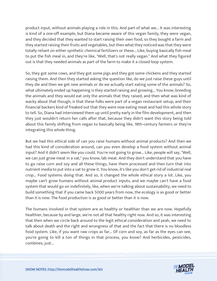product input, without animals playing a role in this. And part of what we... It was interesting is kind of a one-off example, but Diana became aware of this vegan family, they were vegan, and they decided that they wanted to start raising their own food, so they bought a farm and they started raising their fruits and vegetables, but then what they noticed was that they were totally reliant on either synthetic chemical fertilizers or these... Like, buying basically fish meal to put the fish meal in, and they're like, "Well, that's not really vegan." And what they figured out is that they needed animals as part of the farm to make it a closed-loop system.

So, they got some cows, and they got some pigs and they got some chickens and they started raising them. And then they started asking the question like, do we just raise these guys until they die and then we get new animals or do we actually start eating some of the animals? So, what ultimately ended up happening is they started raising and growing... You know, breeding the animals and they would eat only the animals that they raised, and then what was kind of wacky about that though, is that these folks were part of a vegan restaurant setup, and their financial backers kind of freaked out that they were now eating meat and had this whole story to tell. So, Diana had interviewed them up until pretty early in the film development, and then they just wouldn't return her calls after that, because they didn't want this story being told about this family shifting from vegan to basically being like, 18th-century farmers or they're integrating this whole thing.

But we had this ethical side of can you raise humans without animal products? And then we had this kind of consideration around, can you even develop a food system without animal input? And it didn't seem like you could. You're not going to grow... Like, people will say, "Well, we can just grow meat in a vat," you know, lab meat. And they don't understand that you have to go raise corn and soy and all these things, have them processed and then turn that into nutrient media to put into a vat to grow it. You know, it's like you don't get rid of industrial real crop... Food systems doing that. And so, it changed the whole ethical story a lot. Like, you maybe can't grow humans without animal product inputs, and we maybe can't have a food system that would go on indefinitely, like, when we're talking about sustainability, we need to build something that if you came back 5000 years from now, the ecology is as good or better than it is now. The food production is as good or better than it is now.

The humans involved in that system are as healthy or healthier than we are now. Hopefully healthier, because by and large, we're not all that healthy right now. And so, it was interesting that then when we circle back around to the legit ethical consideration and yeah, we need to talk about death and the right and wrongness of that and the fact that there is no bloodless food system. Like, if you want raw crops as far... Of corn and soy, as far as the eyes can see, you're going to kill a ton of things in that process, you know? And herbicides, pesticides, combines, just...

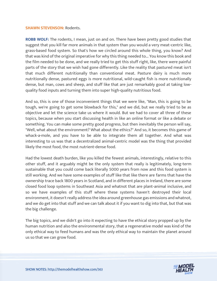#### **SHAWN STEVENSON: Rodents.**

**ROBB WOLF:** The rodents, I mean, just on and on. There have been pretty good studies that suggest that you kill far more animals in that system than you would a very meat-centric like, grass-based food system. So that's how we circled around this whole thing, you know? And that was kind of the original imperative for why this thing needed to... You know this book and the film needed to be done, and we really tried to get this stuff right, like, there were painful parts of the story that we wish had gone differently. Like the reality that pastured meat isn't that much different nutritionally than conventional meat. Pasture dairy is much more nutritionally dense, pastured eggs is more nutritional, wild-caught fish is more nutritionally dense, but man, cows and sheep, and stuff like that are just remarkably good at taking lowquality food inputs and turning them into super high-quality nutritious food.

And so, this is one of those inconvenient things that we were like, "Man, this is going to be tough, we're going to get some blowback for this," and we did, but we really tried to be as objective and let the science take us where it would. But we had to cover all three of these topics, because when you start discussing health in like an online format or like a debate or something. You can make some pretty good progress, but then inevitably the person will say, "Well, what about the environment? What about the ethics?" And so, it becomes this game of whack-a-mole, and you have to be able to integrate them all together. And what was interesting to us was that a decentralized animal-centric model was the thing that provided likely the most food, the most nutrient-dense food.

Had the lowest death burden, like you killed the fewest animals, interestingly, relative to this other stuff, and it arguably might be the only system that really is legitimately, long-term sustainable that you could come back literally 5000 years from now and this food system is still working. And we have some examples of stuff like that like there are farms that have the ownership trace back 1800 years in Scotland, and in different places in Ireland, there are some closed food loop systems in Southeast Asia and whatnot that are plant-animal inclusive, and so we have examples of this stuff where these systems haven't destroyed their local environment, it doesn't really address the idea around greenhouse gas emissions and whatnot, and we do get into that stuff and we can talk about it if you want to dig into that, but that was the big challenge.

The big topics, and we didn't go into it expecting to have the ethical story propped up by the human nutrition and also the environmental story, that a regenerative model was kind of the only ethical way to feed humans and was the only ethical way to maintain the planet around us so that we can grow food.

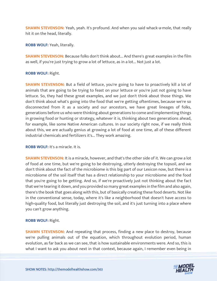**SHAWN STEVENSON:** Yeah, yeah. It's profound. And when you said whack-a-mole, that really hit it on the head, literally.

**ROBB WOLF:** Yeah, literally.

**SHAWN STEVENSON:** Because folks don't think about... And there's great examples in the film as well, if you're just trying to grow a lot of lettuce, as in a lot... Not just a lot.

# **ROBB WOLF:** Right.

**SHAWN STEVENSON:** But a field of lettuce, you're going to have to proactively kill a lot of animals that are going to be trying to feast on your lettuce or you're just not going to have lettuce. So, they had these great examples, and we just don't think about those things. We don't think about what's going into the food that we're getting oftentimes, because we're so disconnected from it as a society and our ancestors, we have great lineages of folks, generations before us who were thinking about generations to come and implementing things in growing food or hunting or strategy, whatever it is, thinking about two generations ahead, for example, like some Native American cultures. In our society right now, if we really think about this, we are actually genius at growing a lot of food at one time, all of these different industrial chemicals and fertilizers it's... They work amazing.

**ROBB WOLF:** It's a miracle. It is.

**SHAWN STEVENSON:** It is a miracle, however, and that's the other side of it. We can grow a lot of food at one time, but we're going to be destroying, utterly destroying the topsoil, and we don't think about the fact of the microbiome is this big part of our Lexicon now, but there is a microbiome of the soil itself that has a direct relationship to your microbiome and the food that you're going to be getting. And so, if we're proactively just not thinking about the fact that we're tearing it down, and you provided so many great examples in the film and also again, there's the book that goes along with this, but of basically creating these food deserts. Not like in the conventional sense, today, where it's like a neighborhood that doesn't have access to high-quality food, but literally just destroying the soil, and it's just turning into a place where you can't grow anything.

# **ROBB WOLF:** Right.

**SHAWN STEVENSON:** And repeating that process, finding a new place to destroy, because we're pulling animals out of the equation, which throughout evolution period, human evolution, as far back as we can see, that is how sustainable environments were. And so, this is [what I want to ask you about next in that context, because again, I remember even being in](https://themodelhealthshow.com/podcasts/robb-wolf-healing-the-earth/) 

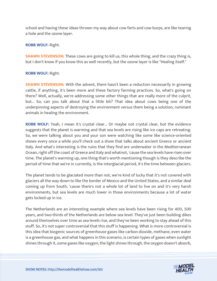school and having these ideas thrown my way about cow farts and cow burps, are like tearing a hole and the ozone layer.

## **ROBB WOLF:** Right.

**SHAWN STEVENSON:** These cows are going to kill us, this whole thing, and the crazy thing is, but I don't know if you know this as well recently, but the ozone layer is like "Healing itself."

## **ROBB WOLF:** Right.

**SHAWN STEVENSON:** With the advent, there hasn't been a reduction necessarily in growing cattle, if anything, it's been more and these factory farming practices. So, what's going on there? Well, actually, we're addressing some other things that are really more of the culprit, but... So, can you talk about that a little bit? That idea about cows being one of the underpinning aspects of destroying the environment versus them being a solution, ruminant animals in healing the environment.

**ROBB WOLF:** Yeah, I mean it's crystal clear... Or maybe not crystal clear, but the evidence suggests that the planet is warming and that sea levels are rising like ice caps are retreating. So, we were talking about you and your son were watching like some like science-oriented shows every once a while you'll check out a show that talks about ancient Greece or ancient Italy. And what's interesting is the ruins that they find are underwater in the Mediterranean Ocean, right off the coast of Greece and Italy and whatnot, 'cause the sea levels have risen over time. The planet's warming up, one thing that's worth mentioning though is they describe the period of time that we're in currently, is the interglacial period, it's the time between glaciers.

The planet tends to be glaciated more than not, we're kind of lucky that it's not covered with glaciers all the way down to like the border of Mexico and the United States, and a similar deal coming up from South, 'cause there's not a whole lot of land to live on and it's very harsh environments, but sea levels are much lower in those environments because a lot of water gets locked up in ice.

The Netherlands are an interesting example where sea levels have been rising for 400, 500 years, and two-thirds of the Netherlands are below sea level. They've just been building dikes around themselves over time as sea levels rise, and they've been working to stay ahead of this stuff. So, it's not super controversial that this stuff is happening. What is more controversial is this idea that biogenic sources of greenhouse gases like carbon dioxide, methane, even water is a greenhouse gas, and what happens in this scenario, is certain types of gases when sunlight shines through it, some gases like oxygen, the light shines through, the oxygen doesn't absorb,

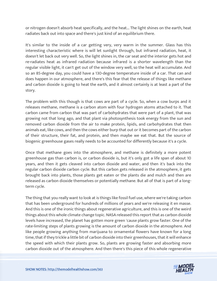or nitrogen doesn't absorb heat specifically, and the heat... The light shines on the earth, heat radiates back out into space and there's just kind of an equilibrium there.

It's similar to the inside of a car getting very, very warm in the summer. Glass has this interesting characteristic where is will let sunlight through, but infrared radiation, heat, it doesn't let back out very well. So, the light shines in, the car seat and the interior gets hot and re-radiates heat as infrared radiation because infrared is a shorter wavelength than the regular visible light, it can't get out of the window very well, so the heat will accumulate. And so an 85-degree day, you could have a 130-degree temperature inside of a car. That can and does happen in our atmosphere, and there's this fear that the release of things like methane and carbon dioxide is going to heat the earth, and it almost certainly is at least a part of the story.

The problem with this though is that cows are part of a cycle. So, when a cow burps and it releases methane, methane is a carbon atom with four hydrogen atoms attached to it. That carbon came from carbon that was part of carbohydrates that were part of a plant, that was growing not that long ago, and that plant via photosynthesis took energy from the sun and removed carbon dioxide from the air to make protein, lipids, and carbohydrates that then animals eat, like cows, and then the cows either burp that out or it becomes part of the carbon of their structure, their fat, and protein, and then maybe we eat that. But the source of biogenic greenhouse gases really needs to be accounted for differently because it's a cycle.

Once that methane goes into the atmosphere, and methane is definitely a more potent greenhouse gas than carbon is, or carbon dioxide is, but it's only got a life span of about 10 years, and then it gets cleaved into carbon dioxide and water, and then it's back into the regular carbon dioxide carbon cycle. But this carbon gets released in the atmosphere, it gets brought back into plants, those plants get eaten or the plants die and mulch and then are released as carbon dioxide themselves or potentially methane. But all of that is part of a longterm cycle.

The thing that you really want to look at is things like fossil fuel use, where we're taking carbon that has been underground for hundreds of millions of years and we're releasing it en masse. And this is one of the ironic things about regenerative agriculture, and this is one of the weird things about this whole climate change topic. NASA released this report that as carbon dioxide levels have increased, the planet has gotten more green 'cause plants grow faster. One of the rate-limiting steps of plants growing is the amount of carbon dioxide in the atmosphere. And like people growing anything from marijuana to ornamental flowers have known for a long time, that if they trickle a little bit of carbon dioxide into their greenhouses, that it will enhance the speed with which their plants grow. So, plants are growing faster and absorbing more [carbon dioxide out of the atmosphere. And then there](https://themodelhealthshow.com/podcasts/robb-wolf-healing-the-earth/)'[s this piece](https://themodelhealthshow.com/podcasts/robb-wolf-healing-the-earth/) of this whole regenerative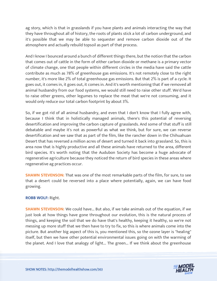ag story, which is that in grasslands if you have plants and animals interacting the way that they have throughout all of history, the roots of plants stick a lot of carbon underground, and it's possible that we may be able to sequester and remove carbon dioxide out of the atmosphere and actually rebuild topsoil as part of that process.

And I know I bounced around a bunch of different things there, but the notion that the carbon that comes out of cattle in the form of either carbon dioxide or methane is a primary vector of climate change, one that people within different circles in the media have said the cattle contribute as much as 78% of greenhouse gas emissions. It's not remotely close to the right number, it's more like 2% of total greenhouse gas emissions. But that 2% is part of a cycle. It goes out, it comes in, it goes out, it comes in. And it's worth mentioning that if we removed all animal husbandry from our food systems, we would still need to raise other stuff. We'd have to raise other greens, other legumes to replace the meat that we're not consuming, and it would only reduce our total carbon footprint by about 3%.

So, if we got rid of all animal husbandry, and even that I don't know that I fully agree with, because I think that in holistically managed animals, there's this potential of reversing desertification and improving the carbon capture of grasslands. And some of that stuff is still debatable and maybe it's not as powerful as what we think, but for sure, we can reverse desertification and we saw that as part of the film, like the rancher down in the Chihuahuan Desert that has reversed a million acres of desert and turned it back into grassland. So, this is area now that is highly productive and all these animals have returned to the area, different bird species. It's worth noting that the Audubon Society has become a huge advocate of regenerative agriculture because they noticed the return of bird species in these areas where regenerative ag practices occur.

**SHAWN STEVENSON:** That was one of the most remarkable parts of the film, for sure, to see that a desert could be reversed into a place where potentially, again, we can have food growing.

# **ROBB WOLF:** Right.

**SHAWN STEVENSON:** We could have... But also, if we take animals out of the equation, if we just look at how things have gone throughout our evolution, this is the natural process of things, and keeping the soil that we do have that's healthy, keeping it healthy, so we're not messing up more stuff that we then have to try to fix, so this is where animals come into the picture. But another big aspect of this is, you mentioned this, so the ozone layer is "healing" itself, but then we have other potential environmental issues going on with the warming of the planet. And I love that analogy of light... The green... If we think about the greenhouse

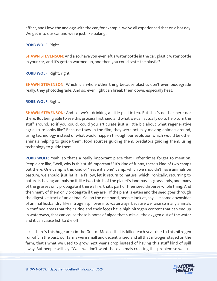effect, and I love the analogy with the car, for example, we've all experienced that on a hot day. We get into our car and we're just like baking.

# **ROBB WOLF:** Right.

**SHAWN STEVENSON:** And also, have you ever left a water bottle in the car, plastic water bottle in your car, and it's gotten warmed up, and then you could taste the plastic?

**ROBB WOLF:** Right, right.

**SHAWN STEVENSON:** Which is a whole other thing because plastics don't even biodegrade really, they photodegrade. And so, even light can break them down, especially heat.

# **ROBB WOLF:** Right.

**SHAWN STEVENSON:** And so, we're drinking a little plastic tea. But that's neither here nor there. But being able to see this process firsthand and what we can actually do to help turn the stuff around, so if you could, could you articulate just a little bit about what regenerative agriculture looks like? Because I saw in the film, they were actually moving animals around, using technology instead of what would happen through our evolution which would be other animals helping to guide them, food sources guiding them, predators guiding them, using technology to guide them.

**ROBB WOLF:** Yeah, so that's a really important piece that I oftentimes forget to mention. People are like, "Well, why is this stuff important?" It's kind of funny, there's kind of two camps out there. One camp is this kind of "leave it alone" camp, which we shouldn't have animals on pasture, we should just let it lie fallow, let it return to nature, which ironically, returning to nature is having animals on it like two-thirds of the planet's landmass is grasslands, and many of the grasses only propagate if there's fire, that's part of their seed disperse whole thing. And then many of them only propagate if they are... If the plant is eaten and the seed goes through the digestive tract of an animal. So, on the one hand, people look at, say like some downsides of animal husbandry, like nitrogen spillover into waterways, because we raise so many animals in confined areas that their urine and their feces have high nitrogen content that can end up in waterways, that can cause these blooms of algae that sucks all the oxygen out of the water and it can cause fish to die off.

Like, there's this huge area in the Gulf of Mexico that is killed each year due to this nitrogen run-off. In the past, our farms were small and decentralized and all that nitrogen stayed on the farm, that's what we used to grow next year's crop instead of having this stuff kind of spill [away. But people will say, "Well, we don](https://themodelhealthshow.com/podcasts/robb-wolf-healing-the-earth/)'[t want these animals creating this problem so we just](https://themodelhealthshow.com/podcasts/robb-wolf-healing-the-earth/)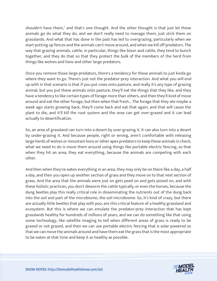shouldn't have them," and that's one thought. And the other thought is that just let these animals go do what they do, and we don't really need to manage them, just stick them on grasslands. And what that has done in the past has led to overgrazing, particularly when we start putting up fences and the animals can't move around, and when we kill off predators. The way that grazing animals, cattle, in particular, things like bison and cattle, they tend to bunch together, and they do that so that they protect the bulk of the members of the herd from things like wolves and lions and other large predators.

Once you remove those large predators, there's a tendency for these animals to just kinda go where they want to go. There's just not the predator-prey interaction. And what you will end up with in that scenario is that if you put cows onto pasture, and really it's any type of grazing animal, but you put these animals onto pasture, they'll eat the things that they like, and they have a tendency to like certain types of forage more than others, and then they'll kind of move around and eat the other forage, but then when that fresh... The forage that they ate maybe a week ago starts growing back, they'll come back and eat that again, and that will cause the plant to die, and it'll kill the root system and the area can get over-grazed and it can lead actually to desertification.

So, an area of grassland can turn into a desert by over-grazing it. It can also turn into a desert by under-grazing it. And because people, right or wrong, aren't comfortable with releasing large herds of wolves or mountain lions or other apex predators to keep these animals in check, what we need to do is move them around using things like portable electric fencing, so that when they hit an area, they eat everything, because the animals are competing with each other.

And then when they've eaten everything in an area, they may only be on there like a day, a half a day, and then you open up another section of grass and they move on to that next section of grass. And the area that the animals were just on gets peed on and gets pooed on, and with these holistic practices, you don't deworm the cattle typically, or even the horses, because the dung beetles play this really critical role in disseminating the nutrients out of the dung back into the soil and part of the microbiome, the soil microbiome. So, it's kind of crazy, but there are actually little beetles that play with poo, are this critical feature of a healthy grassland and ecosystem. But this is where we can emulate the predator-prey interaction that has kept grasslands healthy for hundreds of millions of years, and we can do something like that using some technology, like satellite imaging to tell when different areas of grass is ready to be grazed or not grazed, and then we can use portable electric fencing that is solar powered so that we can move the animals around and have them eat the grass that is the most appropriate to be eaten at that time and keep it as healthy as possible.

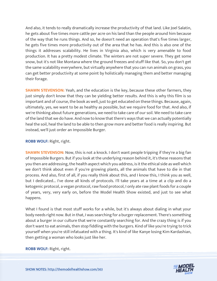And also, it tends to really dramatically increase the productivity of that land. Like Joel Salatin, he gets about five times more cattle per acre on his land than the people around him because of the way that he runs things. And so, he doesn't need an operation that's five times larger, he gets five times more productivity out of the area that he has. And this is also one of the things it addresses scalability. He lives in Virginia also, which is very amenable to food production. It has a pretty modest climate. The winters are not super severe. They get some snow, but it's not like Montana where the ground freezes and stuff like that. So, you don't get the same scalability everywhere, but virtually anywhere that you can run animals on grass, you can get better productivity at some point by holistically managing them and better managing their forage.

**SHAWN STEVENSON:** Yeah, and the education is the key, because these other farmers, they just simply don't know that they can be yielding better results. And this is why this film is so important and of course, the book as well, just to get educated on these things. Because, again, ultimately, yes, we want to be as healthy as possible, but we require food for that. And also, if we're thinking about future generations, we need to take care of our soil. We need to take care of the land that we do have. And now to know that there's ways that we can actually potentially heal the soil, heal the land to be able to then grow more and better food is really inspiring. But instead, we'll just order an Impossible Burger.

# **ROBB WOLF:** Right, right.

**SHAWN STEVENSON:** Now, this is not a knock. I don't want people tripping if they're a big fan of Impossible Burgers. But if you look at the underlying reason behind it, it's these reasons that you then are addressing, the health aspect which you address, is it the ethical side as well which we don't think about even if you're growing plants, all the animals that have to die in that process. And also, first of all, if you really think about this, and I know this, I think you as well, but I dedicated... I've done all kinds of protocols. I'll take years at a time at a clip and do a ketogenic protocol, a vegan protocol, raw food protocol, I only ate raw plant foods for a couple of years, very, very early on, before the Model Health Show existed, and just to see what happens.

What I found is that most stuff works for a while, but it's always about dialing in what your body needs right now. But in that, I was searching for a burger replacement. There's something about a burger in our culture that we're constantly searching for. And the crazy thing is if you don't want to eat animals, then stop fiddling with the burgers. Kind of like you're trying to trick yourself when you're still infatuated with a thing. It's kind of like Kanye losing Kim Kardashian, then getting a woman who looks just like her.

**[ROBB WOLF:](https://themodelhealthshow.com/podcasts/robb-wolf-healing-the-earth/)** Right, right.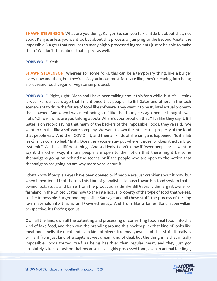**SHAWN STEVENSON:** What are you doing, Kanye? So, can you talk a little bit about that, not about Kanye, unless you want to, but about this process of jumping to the Beyond Meats, the Impossible Burgers that requires so many highly processed ingredients just to be able to make them? We don't think about that aspect as well.

#### **ROBB WOLF:** Yeah...

**SHAWN STEVENSON:** Whereas for some folks, this can be a temporary thing, like a burger every now and then, but they're... As you know, most folks are like, they're leaning into being a processed food, vegan or vegetarian protocol.

**ROBB WOLF:** Right, right. Diana and I have been talking about this for a while, but it's... I think it was like four years ago that I mentioned that people like Bill Gates and others in the tech scene want to drive the future of food like software. They want it to be IP, intellectual property that's owned. And when I was mentioning stuff like that four years ago, people thought I was nuts. "Oh well, what are you talking about? Where's your proof on that?" It's like they say it. Bill Gates is on record saying that many of the backers of the Impossible Foods, they've said, "We want to run this like a software company. We want to own the intellectual property of the food that people eat." And then COVID hit, and then all kinds of shenanigans happened. "Is it a lab leak? Is it not a lab leak? Is it... Does the vaccine stay put where it goes, or does it actually go systemic?" All these different things. And suddenly, I don't know if fewer people are, I want to say it the other way, if more people are open to the notion that there might be some shenanigans going on behind the scenes, or if the people who are open to the notion that shenanigans are going on are way more vocal about it.

I don't know if people's eyes have been opened or if people are just crankier about it now, but when I mentioned that there is this kind of globalist elite push towards a food system that is owned lock, stock, and barrel from the production side like Bill Gates is the largest owner of farmland in the United States now to the intellectual property of the type of food that we eat, so like Impossible Burger and Impossible Sausage and all those stuff, the process of turning raw materials into that is an IP-owned entity. And from like a James Bond super-villain perspective, it's f\*ck\*ng genius.

Own all the land, own all the patenting and processing of converting food, real food, into this kind of fake food, and then own the branding around this hockey puck that kind of looks like meat and smells like meat and even kind of bleeds like meat, own all of that stuff. It really is brilliant from just kind of a capitalist wet dream kind of deal, but the thing is, is that initially Impossible Foods touted itself as being healthier than regular meat, and they just got [absolutely taken to task on that because it](https://themodelhealthshow.com/podcasts/robb-wolf-healing-the-earth/)'[s a highly processed food, even in animal feedings,](https://themodelhealthshow.com/podcasts/robb-wolf-healing-the-earth/)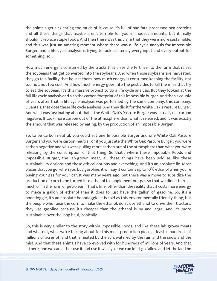the animals get sick eating too much of it 'cause it's full of bad fats, processed pea proteins and all these things that maybe aren't terrible for you in modest amounts, but it really shouldn't replace staple foods. And then there was this claim that they were more sustainable, and this was just an amazing moment where there was a life cycle analysis for Impossible Burger, and a life cycle analysis is trying to look at literally every input and every output for something, so...

How much energy is consumed by the trucks that drive the fertilizer to the farm that raises the soybeans that get converted into the soybeans. And when those soybeans are harvested, they go to a facility that houses them, how much energy is consumed keeping the facility, not too hot, not too cool. And how much energy goes into the pesticides to kill the mice that try to eat the soybean. It's this massive project to do a life cycle analysis. But they looked at the full life cycle analysis and also the carbon footprint of this impossible burger. And then a couple of years after that, a life cycle analysis was performed by the same company, this company, Quanta's, that does these life cycle analyses. And they did it for the White Oak's Pasture Burger. And what was fascinating about that is the White Oak's Pasture Burger was actually net carbon negative. It took more carbon out of the atmosphere than what it released, and it was exactly the amount that was released by eating, by the production of an Impossible Burger.

So, to be carbon neutral, you could eat one Impossible Burger and one White Oak Pasture Burger and you were carbon-neutral, or if you just ate the White Oak Pasture Burger, you were carbon negative and you were pulling more carbon out of the atmosphere than what you were releasing by the consumption of that thing. So that's where these Impossible Foods and Impossible Burger, the lab-grown meat, all these things have been sold as like these sustainability options and these ethical options and everything. And it's an absolute lie. Most places that you go, when you buy gasoline, it will say it contains up to 10% ethanol when you're buying your gas for your car. It was many years ago, but there was a move to subsidize the production of corn to be turned into ethanol to supplement our gas so that we didn't burn as much oil in the form of petroleum. That's fine, other than the reality that it costs more energy to make a gallon of ethanol than it does to just have the gallon of gasoline. So, it's a boondoggle, it's an absolute boondoggle. It is sold as this environmentally friendly thing, but the people who raise the corn to make the ethanol, don't use ethanol to drive their tractors, they use gasoline because it's cheaper than the ethanol is by and large. And it's more sustainable over the long haul, ironically.

So, this is very similar to the story within Impossible Foods, and like these lab-grown meats and whatnot, what we're talking about for this meat production piece at least is hundreds of millions of acres of land that is heated by the sun, watered by the rain and the snow and the mist. And that these animals have co-evolved with for hundreds of millions of years. And that [is there, and we can either use it and use it wisely, or we can let it go fallow and let the land be](https://themodelhealthshow.com/podcasts/robb-wolf-healing-the-earth/)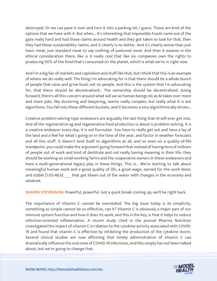destroyed. Or we can pave it over and turn it into a parking lot, I guess. Those are kind of the options that we have with it. But when... It's interesting that Impossible Foods came out of the gate really hard and had these claims around health and they got taken to task for that, then they had these sustainability claims, and it clearly is no better. And it's clearly worse than just basic meat, just standard meat to say nothing of pastured meat. And then it weaves in the ethical consideration there, like is it really cool that like six companies own the rights to producing 95% of the food that's consumed on the planet, which is what we're in right now.

And I'm a big fan of markets and capitalism and stuff like that, but I think that this is an example of where we do really well. The thing I'm advocating for is that there should be a whole bunch of people that raise and grow food, not six people. And this is the system that I'm advocating for, that there should be decentralized... The ownership should be decentralized. Going forward, there's all this concern around what will we as human beings do as AI takes over more and more jobs, like doctoring and lawyering, seems really complex, but really what it is are algorithms. You fall into these different buckets, and it becomes a very algorithmically driven...

Creative problem-solving-type endeavors are arguably the last thing that AI will ever get into. And all the regenerative ag and regenerative food production is about is problem-solving. It is a creative endeavor every day, it is not formulaic. You have to really get out and have a lay of the land and a feel for what's going on in the time of the year, and factor in weather forecasts and all this stuff. It doesn't lend itself to algorithms at all, and so even on a quality-of-life standpoint, you could make the argument going forward that instead of having tens of millions of people out of work and kind of destitute and not really having meaning in their life, they should be working on small working farms and the cooperative owners in these endeavors and have a multi-generational legacy play in these things. This is... We're starting to talk about meaningful human work and a good quality of life, a good wage, earned for the work done, and stable [1:05:48.6] that get blown out of the water with changes in the economy and whatnot.

**SHAWN STEVENSON:** Powerful, powerful. Got a quick break coming up, we'll be right back.

The importance of Vitamin C cannot be overstated. The big issue today is its simplicity, something so simple cannot be so effective, can it? Vitamin C is obviously a major part of our immune system function and how it does its work, and this is the key, is that it helps to reduce infection-oriented inflammation. A recent study cited in the journal Pharma Nutrition investigated the impact of vitamin C in relation to the cytokine activity associated with COVID-19 and found that vitamin C is effective by inhibiting the production of the cytokine storm. Several clinical studies are now affirming that timely administration of vitamin C can dramatically influence the outcome of COVID-19 infections, and this simply has not been talked [about, but we](https://themodelhealthshow.com/podcasts/robb-wolf-healing-the-earth/)'[re going to change that.](https://themodelhealthshow.com/podcasts/robb-wolf-healing-the-earth/)

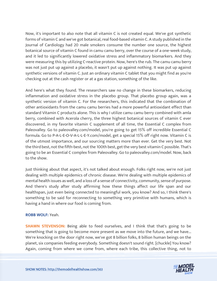Now, it's important to also note that all vitamin C is not created equal. We've got synthetic forms of vitamin C and we've got botanical, real food-based vitamin C. A study published in the Journal of Cardiology had 20 male smokers consume the number one source, the highest botanical source of vitamin C found in camu camu berry, over the course of a one-week study, and it led to significantly lowered oxidative stress and inflammatory biomarkers. And they were measuring this by utilizing C-reactive protein. Now, here's the rub. The camu camu berry was not just put up against a placebo, it wasn't put up against nothing. It was put up against synthetic versions of vitamin C. Just an ordinary vitamin C tablet that you might find as you're checking out at the cash register or at a gas station, something of the like.

And here's what they found. The researchers saw no change in these biomarkers, reducing inflammation and oxidative stress in the placebo group. That placebo group again, was a synthetic version of vitamin C. For the researchers, this indicated that the combination of other antioxidants from the camu camu berries had a more powerful antioxidant effect than standard Vitamin C products alone. This is why I utilize camu camu berry combined with amla berry, combined with Acerola cherry, the three highest botanical sources of vitamin C ever discovered, in my favorite vitamin C supplement of all time, the Essential C complex from Paleovalley. Go to paleovalley.com/model, you're going to get 15% off incredible Essential C formula. Go to P-A-L-E-O-V-A-L-L-E-Y.com/model, get a special 15% off right now. Vitamin C is of the utmost importance, and our sourcing matters more than ever. Get the very best. Not the third best, not the fifth-best, not the 100th best, get the very best vitamin C possible. That's going to be an Essential C complex from Paleovalley. Go to paleovalley.com/model. Now, back to the show.

Just thinking about that aspect, it's not talked about enough. Folks right now, we're not just dealing with multiple epidemics of chronic disease. We're dealing with multiple epidemics of mental health issues as well, and a loss of a sense of connectivity, community, sense of purpose. And there's study after study affirming how these things affect our life span and our healthspan, just even being connected to meaningful work, you know? And so, I think there's something to be said for reconnecting to something very primitive with humans, which is having a hand in where our food is coming from.

## **ROBB WOLF:** Yeah.

**SHAWN STEVENSON:** Being able to feed ourselves, and I think that that's going to be something that is going to become more present as we move into the future, and we have... We're knocking on the door right now, we've got 8 billion folks, 8 billion human beings on the planet, six companies feeding everybody. Something doesn't sound right. [chuckle] You know? [Again, coming from where we come from, where each tribe, this collective thing, not to](https://themodelhealthshow.com/podcasts/robb-wolf-healing-the-earth/)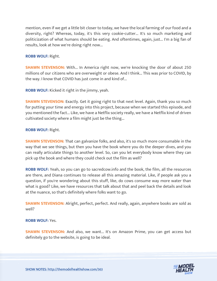mention, even if we get a little bit closer to today, we have the local farming of our food and a diversity, right? Whereas, today, it's this very cookie-cutter... It's so much marketing and politicization of what humans should be eating. And oftentimes, again, just... I'm a big fan of results, look at how we're doing right now...

# **ROBB WOLF:** Right.

**SHAWN STEVENSON:** With... In America right now, we're knocking the door of about 250 millions of our citizens who are overweight or obese. And I think... This was prior to COVID, by the way. I know that COVID has just come in and kind of...

**ROBB WOLF:** Kicked it right in the jimmy, yeah.

**SHAWN STEVENSON:** Exactly. Get it going right to that next level. Again, thank you so much for putting your time and energy into this project, because when we started this episode, and you mentioned the fact... Like, we have a Netflix society really, we have a Netflix kind of driven cultivated society where a film might just be the thing...

# **ROBB WOLF:** Right.

**SHAWN STEVENSON:** That can galvanize folks, and also, it's so much more consumable in the way that we see things, but then you have the book where you do the deeper dives, and you can really articulate things to another level. So, can you let everybody know where they can pick up the book and where they could check out the film as well?

**ROBB WOLF:** Yeah, so you can go to sacredcow.info and the book, the film, all the resources are there, and Diana continues to release all this amazing material. Like, if people ask you a question, if you're wondering about this stuff, like, do cows consume way more water than what is good? Like, we have resources that talk about that and peel back the details and look at the nuance, so that's definitely where folks want to go.

**SHAWN STEVENSON:** Alright, perfect, perfect. And really, again, anywhere books are sold as well?

## **ROBB WOLF:** Yes.

**SHAWN STEVENSON:** And also, we want... It's on Amazon Prime, you can get access but definitely go to the website, is going to be ideal.

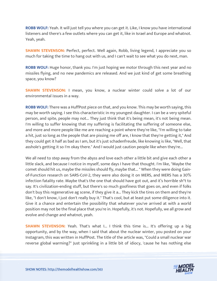**ROBB WOLF:** Yeah. It will just tell you where you can get it. Like, I know you have international listeners and there's a few outlets where you can get it, like in Israel and Europe and whatnot. Yeah, yeah.

**SHAWN STEVENSON:** Perfect, perfect. Well again, Robb, living legend, I appreciate you so much for taking the time to hang out with us, and I can't wait to see what you do next, man.

**ROBB WOLF:** Huge honor, thank you. I'm just hoping we motor through this next year and no missiles flying, and no new pandemics are released. And we just kind of get some breathing space, you know?

**SHAWN STEVENSON:** I mean, you know, a nuclear winter could solve a lot of our environmental issues in a way.

**ROBB WOLF:** There was a HuffPost piece on that, and you know. This may be worth saying, this may be worth saying. I see this characteristic in my youngest daughter. I can be a very spiteful person, and spite, people may not... They just think that it's being mean, it's not being mean. I'm willing to suffer knowing that my suffering is facilitating the suffering of someone else, and more and more people like me are reaching a point where they're like, "I'm willing to take a hit, just so long as the people that are pissing me off are, I know that they're getting it," And they could get it half as bad as I am, but it's just schadenfreude, like knowing is like, "Well, that asshole's getting it so I'm okay there." And I would just caution people like when they're...

We all need to step away from the abyss and love each other a little bit and give each other a little slack, and because I notice in myself, some days I have that thought. I'm like, "Maybe the comet should hit us, maybe the missiles should fly, maybe that... " When they were doing Gainof-Function research on SARS-CoV-2, they were also doing it on MERS, and MERS has a 30% infection fatality rate. Maybe that's the one that should have got out, and it's horrible sh\*t to say. It's civilization-ending stuff, but there's so much goofiness that goes on, and even if folks don't buy this regenerative ag scene, if they give it a... They kick the tires on them and they're like, "I don't know, I just don't really buy it." That's cool, but at least put some diligence into it. Give it a chance and entertain the possibility that whatever you've arrived at with a world position may not be the final place that you're in. Hopefully, it's not. Hopefully, we all grow and evolve and change and whatnot, yeah.

**SHAWN STEVENSON:** Yeah. That's what I... I think this time is... It's offering up a big opportunity, and by the way, when I said that about the nuclear winter, you posted on your Instagram, this was written in HuffPost. The title of the article was, "Could a small nuclear war reverse global warming?" Just sprinkling in a little bit of idiocy, 'cause he has nothing else

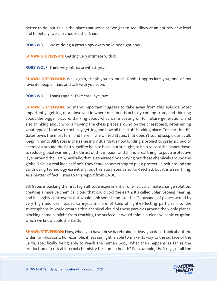better to do, but this is the place that we're at. We get to see idiocy at an entirely new level and hopefully, we can choose other than.

**ROBB WOLF:** We're doing a proctology exam on idiocy right now.

**SHAWN STEVENSON:** Getting very intimate with it.

**ROBB WOLF:** Think very intimate with it, yeah.

**SHAWN STEVENSON:** Well again, thank you so much, Robb. I appreciate you, one of my favorite people, man, and talk with you soon.

**ROBB WOLF:** Thanks again. Take care, bye, bye.

**SHAWN STEVENSON:** So many important nuggets to take away from this episode. Most importantly, getting more involved in where our food is actually coming from, and thinking about the bigger picture, thinking about what we're passing on for future generations, and also thinking about who is moving the chess pieces around on the chessboard, determining what type of food we're actually getting and how all this stuff is taking place. To hear that Bill Gates owns the most farmland here in the United States, that doesn't sound suspicious at all. Keep in mind, Bill Gates is the same individual that's now funding a project to spray a cloud of chemicals around the Earth itself to help to block out sunlight, to help to cool the planet down, to reduce global warming, the thrust of this mission, and this is a real thing, to put a protective layer around the Earth, basically, that is generated by spraying out these chemicals around the globe. This is a real idea as if he's Tony Stark or something to put a protective belt around the Earth using technology essentially, but this story sounds so far-fetched, but it is a real thing. As a matter of fact, listen to this report from CNBC.

Bill Gates is backing the first high altitude experiment of one radical climate change solution, creating a massive chemical cloud that could cool the earth. It's called Solar Geoengineering, and it's highly controversial. It would look something like this. Thousands of planes would fly very high and use nozzles to inject millions of tons of light-reflecting particles into the stratosphere, it would create a thin chemical cloud of those particles around the whole planet, blocking some sunlight from reaching the surface. It would mimic a giant volcanic eruption, which we know cools the Earth.

**SHAWN STEVENSON:** Now, when you have these harebrained ideas, you don't think about the wider ramifications. For example, if less sunlight is able to make its way to the surface of the Earth, specifically being able to reach the human body, what then happens as far as the [production of critical internal chemistry for human health? For example, UV B rays, of all the](https://themodelhealthshow.com/podcasts/robb-wolf-healing-the-earth/)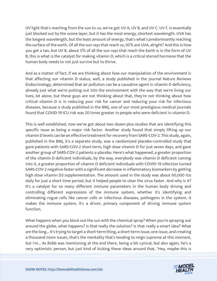UV light that's reaching from the sun to us, we've got UV A, UV B, and UV C. UV C is essentially just blocked out by the ozone layer, but it has the most energy, shortest wavelength. UVA has the longest wavelength, but the least amount of energy, that's what's predominantly reaching the surface of the earth. Of all the sun rays that reach us, 95% are UVA, alright? And this is how you get a tan, but UV B, about 5% of all the sun rays that reach the Earth is in the form of UV B, this is what is the catalyst for making vitamin D, which is a critical steroid hormone that the human body needs to not just survive but to thrive.

And as a matter of fact, if we are thinking about how our manipulation of the environment is that affecting our vitamin D status, well, a study published in the journal Nature Reviews Endocrinology, determined that air pollution can be a causative agent in vitamin D deficiency, already just what we're putting out into the environment with the way that we're living our lives, let alone, but these guys are not thinking about that, they're not thinking about how critical vitamin D is in reducing your risk for cancer and reducing your risk for infectious diseases, because a study published in the BMJ, one of our most prestigious medical journals found that COVID-19 ICU risk was 20 times greater in people who were deficient in vitamin D.

This is well established, now we've got about two dozen-plus studies that are identifying this specific issue as being a major risk factor. Another study found that simply lifting up our vitamin D levels can be an effective treatment for recovery from SARS-COV-2. This study, again, published in the BMJ, it's a separate study, was a randomized placebo-controlled study that gave patients with SARS-COV-2 short-term, high dose vitamin D for just seven days, and gave another group of SARS-COV-2 patients a placebo. Here's what happened, a greater proportion of the vitamin D deficient individuals, by the way, everybody was vitamin D deficient coming into it, a greater proportion of vitamin D deficient individuals with COVID-19 infection turned SARS-COV-2 negative faster with a significant decrease in inflammatory biomarkers by getting high dose vitamin D3 supplementation. The amount used in the study was about 60,000 IUs daily for just a short time period, but it helped people to clear the virus faster. And why is it? It's a catalyst for so many different immune parameters in the human body driving and controlling different expressions of the immune system, whether it's identifying and eliminating rogue cells like cancer cells or infectious diseases, pathogens in the system, it makes the immune system, it's a driver, primary component of driving immune system function.

What happens when you block out the sun with the chemical spray? When you're spraying out around the globe, what happens? Is that really the solution? Is that really a smart idea? What are the long... It's trying to target a short-term thing, a short-term issue, one issue, and creating a thousand more issues, that's the mentality that's tending to reign supreme at this moment, but I'm... As Robb was mentioning at the end there, being a bit cynical, but also again, he's a [very optimistic person, but just kind of kicking these ideas around that, "Hey, maybe this is](https://themodelhealthshow.com/podcasts/robb-wolf-healing-the-earth/) 

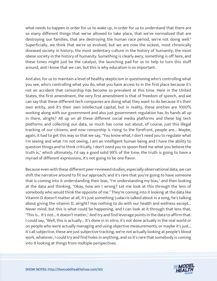what needs to happen in order for us to wake up, in order for us to understand that there are so many different things that we've allowed to take place, that we've normalized that are destroying our families, that are destroying the human race period, we're not doing well." Superficially, we think that we're so evolved, but we are now the sickest, most chronically diseased society in history, the most sedentary culture in the history of humanity, the most obese society in the history of humanity. Something is clearly awry, something is off here, and these times might just be the catalyst, the launching pad for us to help to turn this stuff around, and I know that we can, but this is why education is so important.

And also, for us to maintain a level of healthy skepticism in questioning who's controlling what you see, who's controlling what you do, what you have access to in the first place because it's not an accident that censorship has become so prevalent at this time. Here in the United States, the first amendment, the very first amendment is that of freedom of speech, and we can say that these different tech companies are doing what they want to do because it's their own entity, and it's their own intellectual capital, but in reality, these entities are 1000% working along with our government and also just government regulation has its hands all up in there, alright? All up on all these different social media platforms and these big tech platforms and collecting our data, so much has come out about, of course, just this illegal tracking of our citizens, and now censorship is rising to the forefront, people are... Maybe, again, it had to get this way so that we say, "You know what, I don't need you to regulate what I'm seeing and what I'm not seeing, I am an intelligent human being and I have the ability to question things and to think critically, I don't need you to spoon-feed me what you believe the truth is," which ultimately, I'd say a good solid 99% of the time, the truth is going to have a myriad of different expressions, it's not going to be one flavor.

Because even with these different peer-reviewed studies, especially observational data, we can shift the narrative around to fit our approach, and it's rare that you're going to have someone that is coming into it understanding their bias, "I'm understanding my bias," and then looking at the data and thinking, "Okay, how am I wrong? Let me look at this through the lens of somebody who would think the opposite of me." They're coming into it looking at the data like Vitamin D doesn't matter at all, it's just something Ludacris talked about in a song, he's talking about giving the vitamin D, alright? Has nothing to do with our health and wellness except... Never mind, but this is what could be happening, and I can look at it through that lens that, "This is... It's not... It doesn't matter," And try and find leverage points in the data to affirm that. I could say, "Well, this is actually... It's done in In vitro; it's not done actually in the real world or on people who were actually managing and using objective measurements, or maybe it's just... It's all subjective, these are just subjective tracking, we're not actually looking at people's blood work, whatever, I could try and find holes in anything, and so it's rare that somebody is coming into it looking at things from multiple perspectives.

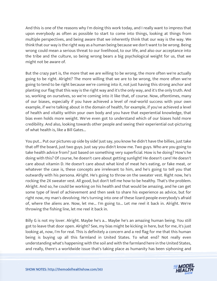And this is one of the reasons why I'm doing this work today, and I really want to impress that upon everybody as often as possible to start to come into things, looking at things from multiple perspectives, and being aware that we inherently think that our way is the way. We think that our way is the right way as a human being because we don't want to be wrong. Being wrong could mean a serious threat to our livelihood, to our life, and also our acceptance into the tribe and the culture, so being wrong bears a big psychological weight for us, that we might not be aware of.

But the crazy part is, the more that we are willing to be wrong, the more often we're actually going to be right. Alright? The more willing that we are to be wrong, the more often we're going to tend to be right because we're coming into it, not just having this strong anchor and planting our flag that this way is the right way and it's the only way, and it's the only truth. And so, working on ourselves, so we're coming into it like that, of course. Now, oftentimes, many of our biases, especially if you have achieved a level of real-world success with your own example, if we're talking about in the domain of health, for example, if you've achieved a level of health and vitality within your own body and you have that experiential knowledge, that bias even holds more weight. We've even got to understand which of our biases hold more credibility. And also, looking towards other people and seeing their experiential out-picturing of what health is, like a Bill Gates...

You put... Put our pictures up side by side! Just say, you know he didn't have the billies, just take that off the board, just two guys. Just say you didn't know me. Two guys. Who are you going to take health advice from? Just based on something very superficial. How is he doing? How's he doing with this? Of course, he doesn't care about getting sunlight! He doesn't care! He doesn't care about vitamin D. He doesn't care about what kind of meat he's eating, or fake meat, or whatever the case is, these concepts are irrelevant to him, and he's going to tell you that outwardly with his persona. Alright. He's going to throw on the sweater vest. Right now, he's rocking the 2X sweater vest. All good, but don't tell me how to be healthy. That's the problem. Alright. And so, he could be working on his health and that would be amazing, and he can get some type of level of achievement and then seek to share his experience as advice, but for right now, my man's devolving. He's turning into one of these lizard people everybody's afraid of, where the aliens are. Now, let me... I'm going to... Let me reel it back in. Alright. We're throwing the fishing line, let me reel it back in.

Billy G is not my lover. Alright. Maybe he's a... Maybe he's an amazing human being. You still got to leave that door open. Alright? See, my bias might be kicking in here, but for me, it's just looking at, now, I'm for real. This is definitely a concern and a red flag for me that this human being is buying up all this farmland in United States. To what end? Not really even understanding what's happening with the soil and with the farmland here in the United States, [and really, there](https://themodelhealthshow.com/podcasts/robb-wolf-healing-the-earth/)'[s a worldwide issue that](https://themodelhealthshow.com/podcasts/robb-wolf-healing-the-earth/)'[s taking place as humanity has been siphoning and](https://themodelhealthshow.com/podcasts/robb-wolf-healing-the-earth/)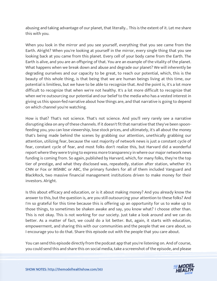abusing and taking advantage of our planet, that literally... This is the extent of it. Let me share this with you.

When you look in the mirror and you see yourself, everything that you see came from the Earth. Alright? When you're looking at yourself in the mirror, every single thing that you see looking back at you came from this planet. Every cell of your body came from the Earth. The Earth is alive, and you are an offspring of that. You are an example of the vitality of the planet. What happens when we break down and abuse and degrade our planet? We will inherently be degrading ourselves and our capacity to be great, to reach our potential, which, this is the beauty of this whole thing, is that being that we are human beings living at this time, our potential is limitless, but we have to be able to recognize that. And the point is, it's a lot more difficult to recognize that when we're not healthy. It's a lot more difficult to recognize that when we're outsourcing our potential and our belief to the media who has a vested interest in giving us this spoon-fed narrative about how things are, and that narrative is going to depend on which channel you're watching.

How is that? That's not science. That's not science. And you'll very rarely see a narrative disrupting idea on any of these channels. If it doesn't fit that narrative that they've been spoonfeeding you, you can lose viewership, lose stock prices, and ultimately, it's all about the money that's being made behind the scenes by grabbing our attention, unethically grabbing our attention, utilizing fear, because the vast majority of network news is just a constant cycle of fear, constant cycle of fear, and most folks don't realize this, but Harvard did a wonderful report where they were trying to express more transparency in where our major network news funding is coming from. So again, published by Harvard, which, for many folks, they're the top tier of prestige, and what they disclosed was, repeatedly, station after station, whether it's CNN or Fox or MSNBC or ABC, the primary funders for all of them included Vanguard and BlackRock, two massive financial management institutions driven to make money for their investors. Alright.

Is this about efficacy and education, or is it about making money? And you already know the answer to this, but the question is, are you still outsourcing your attention to these folks? And I'm so grateful for this time because this is offering up an opportunity for us to wake up to those things, to sometimes be shaken awake and say, you know what? I choose other than. This is not okay. This is not working for our society. Just take a look around and we can do better. As a matter of fact, we could do a lot better. But, again, it starts with education, empowerment, and sharing this with our communities and the people that we care about, so I encourage you to do that. Share this episode out with the people that you care about.

You can send this episode directly from the podcast app that you're listening on. And of course, [you could send this and share this on social media, take a screenshot of the episode, and please](https://themodelhealthshow.com/podcasts/robb-wolf-healing-the-earth/)